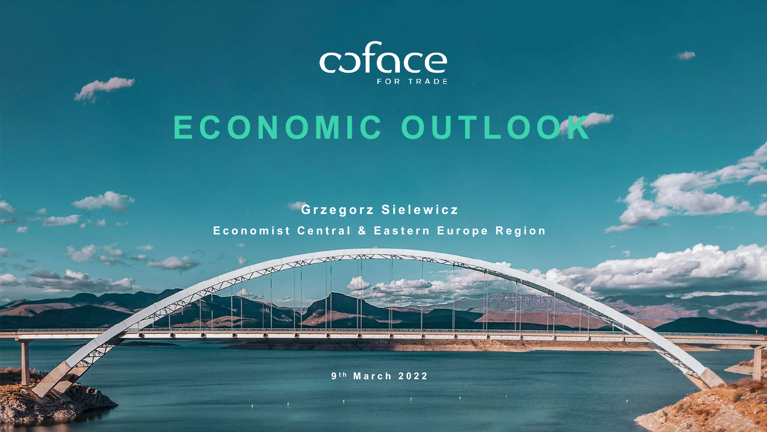

# **ECONOMIC OUTLOOK**

**Grzegorz Sielewicz Economist Central & Eastern Europe Region**

**9 t h March 2022**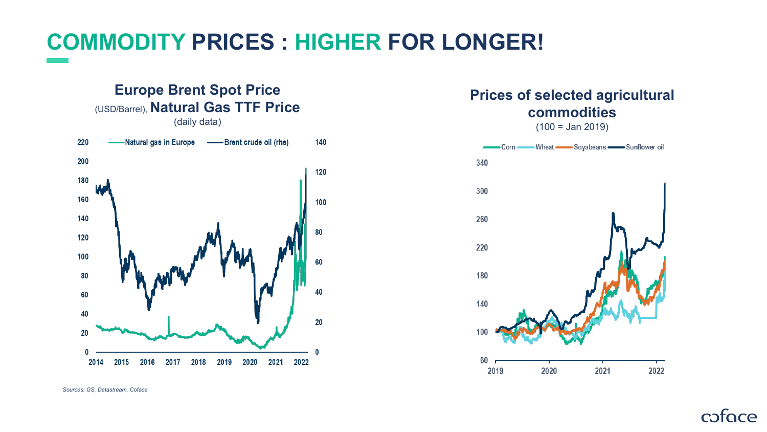## **COMMODITY PRICES : HIGHER FOR LONGER!**

#### **Europe Brent Spot Price**  (USD/Barrel), **Natural Gas TTF Price** (daily data)



#### **Prices of selected agricultural commodities**

 $(100 =$  Jan 2019)



coface

*Sources: GS, Datastream, Coface*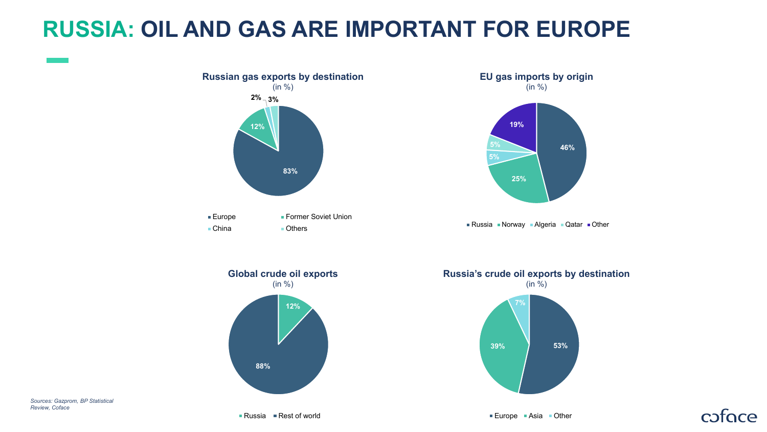### **RUSSIA: OIL AND GAS ARE IMPORTANT FOR EUROPE**



*Sources: Gazprom, BP Statistical Review, Coface*

**88%**

**39% 53%**

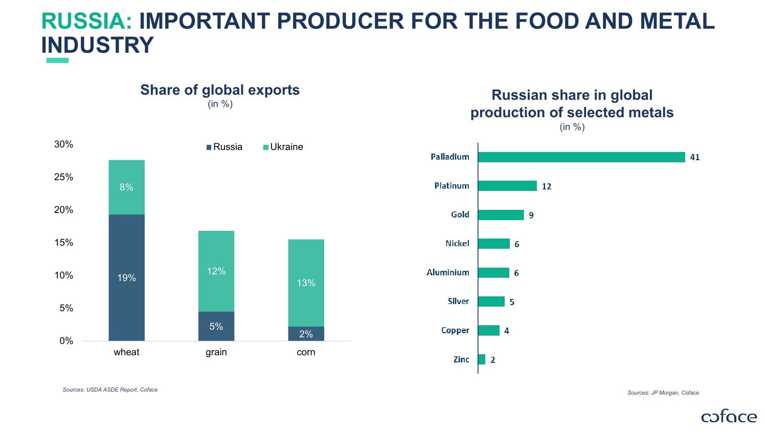### **RUSSIA: IMPORTANT PRODUCER FOR THE FOOD AND METAL INDUSTRY**



#### (in %) **Russian share in global production of selected metals** (in %)



*Sources: USDA ASDE Report, Coface*

*Sources: JP Morgan, Coface*

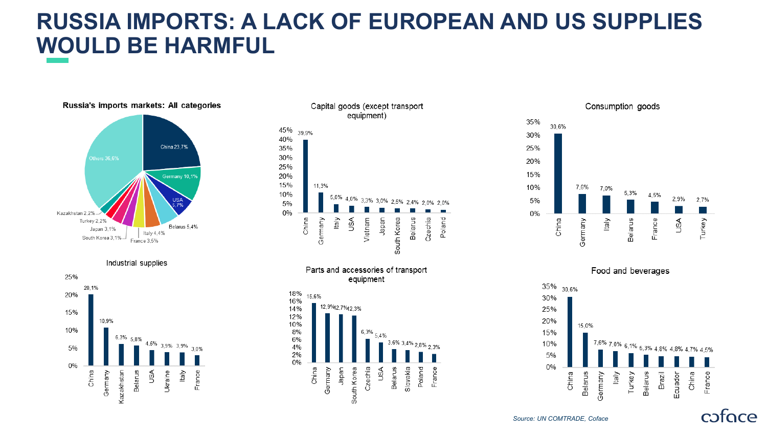### **RUSSIA IMPORTS: A LACK OF EUROPEAN AND US SUPPLIES WOULD BE HARMFUL**



![](_page_4_Figure_2.jpeg)

![](_page_4_Figure_3.jpeg)

![](_page_4_Figure_4.jpeg)

![](_page_4_Figure_5.jpeg)

![](_page_4_Figure_6.jpeg)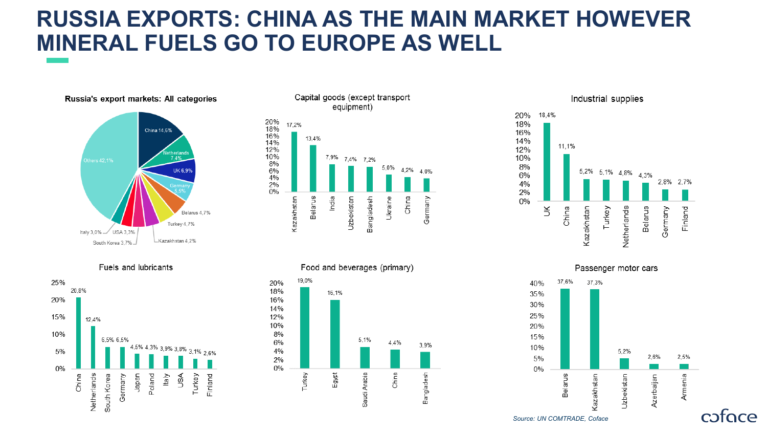### **RUSSIA EXPORTS: CHINA AS THE MAIN MARKET HOWEVER MINERAL FUELS GO TO EUROPE AS WELL**

![](_page_5_Figure_1.jpeg)

Fuels and lubricants

![](_page_5_Figure_3.jpeg)

![](_page_5_Figure_4.jpeg)

Food and beverages (primary)

![](_page_5_Figure_6.jpeg)

Industrial supplies 18,4% 20% 18% 16% 14% 11.1% 12% 10% 8% 5,2% 5,1% 4,8% 4,3% 6% 2,8% 2,7% 4% 2%  $0%$ Finland China Turkey  $\gtrsim$ Kazakhstan Netherlands Belarus Germany

![](_page_5_Figure_8.jpeg)

cofoce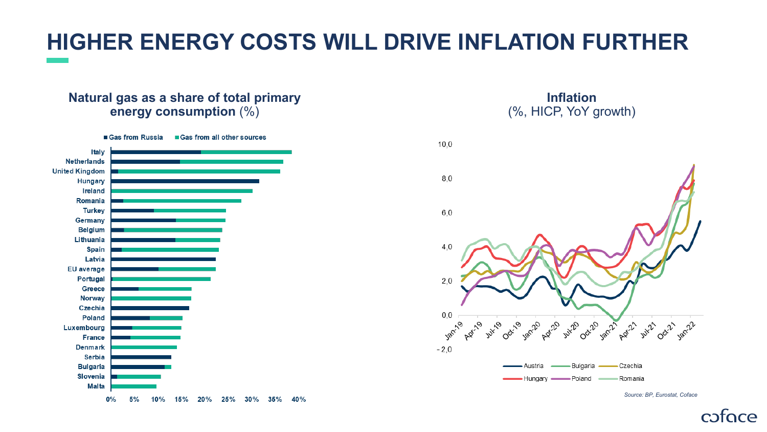# **HIGHER ENERGY COSTS WILL DRIVE INFLATION FURTHER**

#### **Natural gas as a share of total primary energy consumption** (%)

![](_page_6_Figure_2.jpeg)

**Inflation** (%, HICP, YoY growth)

![](_page_6_Figure_4.jpeg)

*Source: BP, Eurostat, Coface*

coface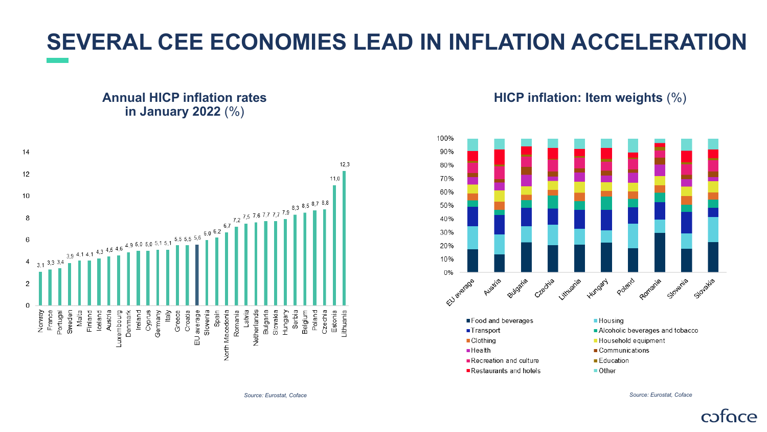# **SEVERAL CEE ECONOMIES LEAD IN INFLATION ACCELERATION**

#### **Annual HICP inflation rates in January 2022** (%)

![](_page_7_Figure_2.jpeg)

**HICP inflation: Item weights** (%)

![](_page_7_Figure_4.jpeg)

*Source: Eurostat, Coface Source: Eurostat, Coface*

cofoce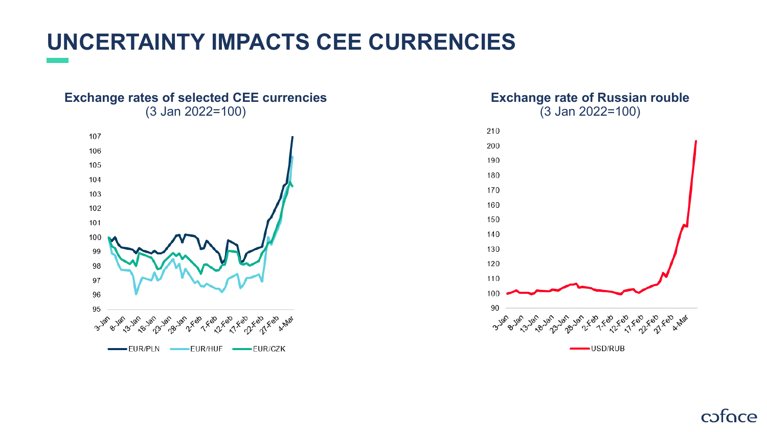# **UNCERTAINTY IMPACTS CEE CURRENCIES**

#### **Exchange rates of selected CEE currencies** (3 Jan 2022=100)

![](_page_8_Figure_2.jpeg)

#### **Exchange rate of Russian rouble** (3 Jan 2022=100)

![](_page_8_Figure_4.jpeg)

coface